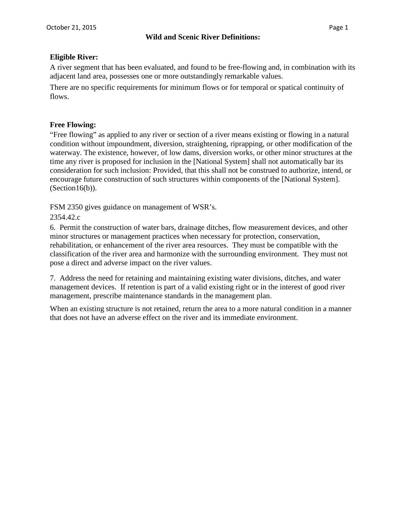## **Wild and Scenic River Definitions:**

## **Eligible River:**

A river segment that has been evaluated, and found to be free-flowing and, in combination with its adjacent land area, possesses one or more outstandingly remarkable values.

There are no specific requirements for minimum flows or for temporal or spatical continuity of flows.

## **Free Flowing:**

"Free flowing" as applied to any river or section of a river means existing or flowing in a natural condition without impoundment, diversion, straightening, riprapping, or other modification of the waterway. The existence, however, of low dams, diversion works, or other minor structures at the time any river is proposed for inclusion in the [National System] shall not automatically bar its consideration for such inclusion: Provided, that this shall not be construed to authorize, intend, or encourage future construction of such structures within components of the [National System].  $(Section 16(b))$ .

FSM 2350 gives guidance on management of WSR's.

2354.42.c

6. Permit the construction of water bars, drainage ditches, flow measurement devices, and other minor structures or management practices when necessary for protection, conservation, rehabilitation, or enhancement of the river area resources. They must be compatible with the classification of the river area and harmonize with the surrounding environment. They must not pose a direct and adverse impact on the river values.

7. Address the need for retaining and maintaining existing water divisions, ditches, and water management devices. If retention is part of a valid existing right or in the interest of good river management, prescribe maintenance standards in the management plan.

When an existing structure is not retained, return the area to a more natural condition in a manner that does not have an adverse effect on the river and its immediate environment.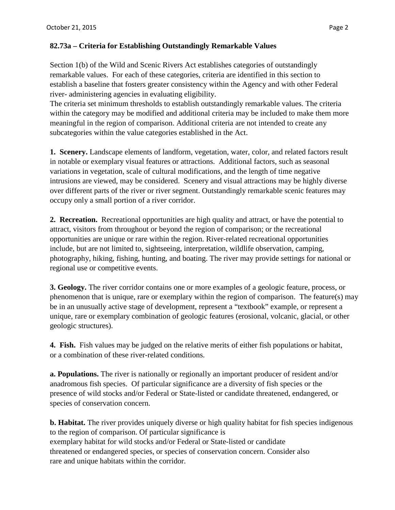## **82.73a – Criteria for Establishing Outstandingly Remarkable Values**

Section 1(b) of the Wild and Scenic Rivers Act establishes categories of outstandingly remarkable values. For each of these categories, criteria are identified in this section to establish a baseline that fosters greater consistency within the Agency and with other Federal river- administering agencies in evaluating eligibility.

The criteria set minimum thresholds to establish outstandingly remarkable values. The criteria within the category may be modified and additional criteria may be included to make them more meaningful in the region of comparison. Additional criteria are not intended to create any subcategories within the value categories established in the Act.

**1. Scenery.** Landscape elements of landform, vegetation, water, color, and related factors result in notable or exemplary visual features or attractions. Additional factors, such as seasonal variations in vegetation, scale of cultural modifications, and the length of time negative intrusions are viewed, may be considered. Scenery and visual attractions may be highly diverse over different parts of the river or river segment. Outstandingly remarkable scenic features may occupy only a small portion of a river corridor.

**2. Recreation.** Recreational opportunities are high quality and attract, or have the potential to attract, visitors from throughout or beyond the region of comparison; or the recreational opportunities are unique or rare within the region. River-related recreational opportunities include, but are not limited to, sightseeing, interpretation, wildlife observation, camping, photography, hiking, fishing, hunting, and boating. The river may provide settings for national or regional use or competitive events.

**3. Geology.** The river corridor contains one or more examples of a geologic feature, process, or phenomenon that is unique, rare or exemplary within the region of comparison. The feature(s) may be in an unusually active stage of development, represent a "textbook" example, or represent a unique, rare or exemplary combination of geologic features (erosional, volcanic, glacial, or other geologic structures).

**4. Fish.** Fish values may be judged on the relative merits of either fish populations or habitat, or a combination of these river-related conditions.

**a. Populations.** The river is nationally or regionally an important producer of resident and/or anadromous fish species. Of particular significance are a diversity of fish species or the presence of wild stocks and/or Federal or State-listed or candidate threatened, endangered, or species of conservation concern.

**b. Habitat.** The river provides uniquely diverse or high quality habitat for fish species indigenous to the region of comparison. Of particular significance is exemplary habitat for wild stocks and/or Federal or State-listed or candidate threatened or endangered species, or species of conservation concern. Consider also rare and unique habitats within the corridor.